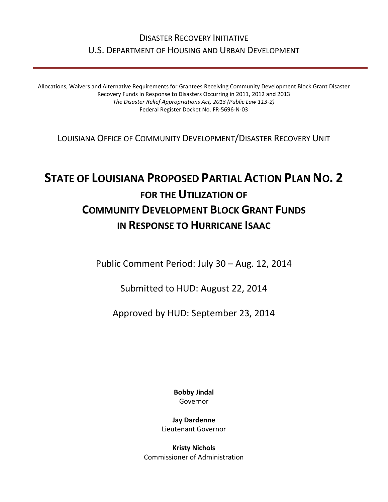# DISASTER RECOVERY INITIATIVE U.S. DEPARTMENT OF HOUSING AND URBAN DEVELOPMENT

Allocations, Waivers and Alternative Requirements for Grantees Receiving Community Development Block Grant Disaster Recovery Funds in Response to Disasters Occurring in 2011, 2012 and 2013 *The Disaster Relief Appropriations Act, 2013 (Public Law 113-2)* Federal Register Docket No. FR-5696-N-03

LOUISIANA OFFICE OF COMMUNITY DEVELOPMENT/DISASTER RECOVERY UNIT

# **STATE OF LOUISIANA PROPOSED PARTIAL ACTION PLAN NO. 2 FOR THE UTILIZATION OF COMMUNITY DEVELOPMENT BLOCK GRANT FUNDS IN RESPONSE TO HURRICANE ISAAC**

Public Comment Period: July 30 – Aug. 12, 2014

Submitted to HUD: August 22, 2014

Approved by HUD: September 23, 2014

**Bobby Jindal** Governor

**Jay Dardenne** Lieutenant Governor

**Kristy Nichols** Commissioner of Administration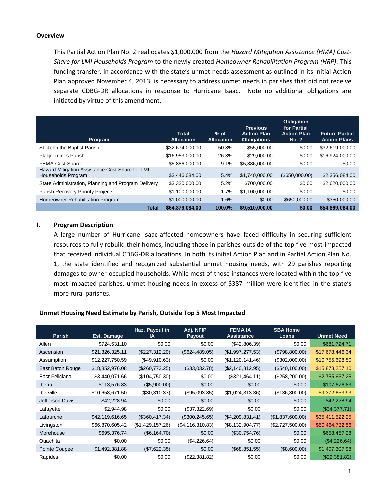### **Overview**

This Partial Action Plan No. 2 reallocates \$1,000,000 from the *Hazard Mitigation Assistance (HMA) Cost-Share for LMI Households Program* to the newly created *Homeowner Rehabilitation Program (HRP)*. This funding transfer, in accordance with the state's unmet needs assessment as outlined in its Initial Action Plan approved November 4, 2013, is necessary to address unmet needs in parishes that did not receive separate CDBG-DR allocations in response to Hurricane Isaac. Note no additional obligations are initiated by virtue of this amendment.

| Program                                                               | <b>Total</b><br><b>Allocation</b> | $%$ of<br><b>Allocation</b> | <b>Previous</b><br><b>Action Plan</b><br><b>Obligations</b> | <b>Obligation</b><br>for Partial<br><b>Action Plan</b><br><b>No. 2</b> | <b>Future Partial</b><br><b>Action Plans</b> |
|-----------------------------------------------------------------------|-----------------------------------|-----------------------------|-------------------------------------------------------------|------------------------------------------------------------------------|----------------------------------------------|
| St. John the Baptist Parish                                           | \$32,674,000.00                   | 50.8%                       | \$55,000.00                                                 | \$0.00                                                                 | \$32,619,000.00                              |
| <b>Plaquemines Parish</b>                                             | \$16,953,000.00                   | 26.3%                       | \$29,000.00                                                 | \$0.00                                                                 | \$16,924,000,00                              |
| <b>FEMA Cost-Share</b>                                                | \$5,886,000,00                    | 9.1%                        | \$5,886,000.00                                              | \$0.00                                                                 | \$0.00                                       |
| Hazard Mitigation Assistance Cost-Share for LMI<br>Households Program | \$3,446,084.00                    | 5.4%                        | \$1,740,000.00                                              | (\$650,000.00)                                                         | \$2,356,084.00                               |
| State Administration, Planning and Program Delivery                   | \$3,320,000.00                    | 5.2%                        | \$700,000.00                                                | \$0.00                                                                 | \$2,620,000.00                               |
| Parish Recovery Priority Projects                                     | \$1,100,000.00                    | 1.7%                        | \$1,100,000,00                                              | \$0.00                                                                 | \$0.00                                       |
| Homeowner Rehabilitation Program                                      | \$1,000,000.00                    | 1.6%                        | \$0.00                                                      | \$650,000.00                                                           | \$350,000.00                                 |
| <b>Total</b>                                                          | \$64,379,084.00                   | 100.0%                      | \$9,510,000.00                                              | \$0.00                                                                 | \$54,869,084.00                              |

# **I. Program Description**

A large number of Hurricane Isaac-affected homeowners have faced difficulty in securing sufficient resources to fully rebuild their homes, including those in parishes outside of the top five most-impacted that received individual CDBG-DR allocations. In both its initial Action Plan and in Partial Action Plan No. 1, the state identified and recognized substantial unmet housing needs, with 29 parishes reporting damages to owner-occupied households. While most of those instances were located within the top five most-impacted parishes, unmet housing needs in excess of \$387 million were identified in the state's more rural parishes.

# **Unmet Housing Need Estimate by Parish, Outside Top 5 Most Impacted**

| <b>Parish</b>    | Est. Damage     | <b>Haz. Payout in</b><br>ΙA | Adj. NFIP<br>Payout | <b>FEMAIA</b><br><b>Assistance</b> | <b>SBA Home</b><br>Loans | <b>Unmet Need</b> |
|------------------|-----------------|-----------------------------|---------------------|------------------------------------|--------------------------|-------------------|
| Allen            | \$724,531.10    | \$0.00                      | \$0.00              | (\$42,806.39)                      | \$0.00                   | \$681,724.71      |
| Ascension        | \$21,326,325.11 | (\$227,312.20)              | (\$624,489.05)      | (\$1,997,277.53)                   | (\$798,800.00)           | \$17,678,446.34   |
| Assumption       | \$12,227,750.59 | (\$49,910.63)               | \$0.00              | (\$1,120,141.46)                   | (\$302,000.00)           | \$10,755,698.50   |
| East Baton Rouge | \$18,852,976.08 | (\$260,773.25)              | (\$33,032.78)       | (\$2,140,812.95)                   | (\$540,100.00)           | \$15,878,257.10   |
| East Feliciana   | \$3,440,071.66  | (\$104,750.30)              | \$0.00              | (\$321,464.11)                     | (\$258, 200.00)          | \$2,755,657.25    |
| Iberia           | \$113,576.83    | (\$5,900.00)                | \$0.00              | \$0.00                             | \$0.00                   | \$107,676.83      |
| <b>Iberville</b> | \$10,658,671.50 | (\$30,310.37)               | (\$95,093.85)       | (\$1,024,313.36)                   | (\$136,300.00)           | \$9,372,653.93    |
| Jefferson Davis  | \$42,228.94     | \$0.00                      | \$0.00              | \$0.00                             | \$0.00                   | \$42,228.94       |
| Lafayette        | \$2,944.98      | \$0.00                      | (\$37,322.69)       | \$0.00                             | \$0.00                   | (\$34,377.71)     |
| Lafourche        | \$42,119,616.65 | (\$360,417.34)              | (\$300, 245.65)     | (\$4,209,831.41)                   | (\$1,837,600.00)         | \$35,411,522.25   |
| Livingston       | \$66,870,605.42 | (\$1,429,157.26)            | (\$4, 116, 310.83)  | (\$8,132,904.77)                   | (\$2,727,500.00)         | \$50,464,732.56   |
| Morehouse        | \$695,376.74    | (\$6,164.70)                | \$0.00              | (\$30,754.76)                      | \$0.00                   | \$658,457.28      |
| <b>Ouachita</b>  | \$0.00          | \$0.00                      | (\$4,226.64)        | \$0.00                             | \$0.00                   | (\$4,226.64)      |
| Pointe Coupee    | \$1,492,381.88  | (\$7,622.35)                | \$0.00              | (\$68,851.55)                      | (\$8,600.00)             | \$1,407,307.98    |
| Rapides          | \$0.00          | \$0.00                      | (\$22,381.82)       | \$0.00                             | \$0.00                   | (\$22,381.82)     |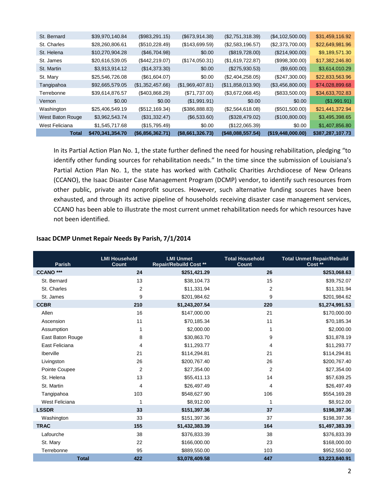| <b>Total</b>     | \$470,341,354.70 | (\$6,856,362.71) | (\$8,661,326.73) | (\$48,088,557.54) | (\$19,448,000.00) | \$387,287,107.73 |
|------------------|------------------|------------------|------------------|-------------------|-------------------|------------------|
| West Feliciana   | \$1,545,717.68   | (\$15,795.49)    | \$0.00           | (\$122,065.39)    | \$0.00            | \$1,407,856.80   |
| West Baton Rouge | \$3,962,543.74   | (\$31,332.47)    | (\$6,533.60)     | (\$328,479.02)    | (\$100,800.00)    | \$3,495,398.65   |
| Washington       | \$25,406,549.19  | (\$512, 169.34)  | (\$386,888.83)   | (\$2,564,618.08)  | (\$501,500.00)    | \$21,441,372.94  |
| Vernon           | \$0.00           | \$0.00           | (\$1,991.91)     | \$0.00            | \$0.00            | (\$1,991.91)     |
| Terrebonne       | \$39,614,876.57  | (\$403,868.29)   | (\$71,737.00)    | (\$3,672,068.45)  | (\$833,500.00)    | \$34,633,702.83  |
| Tangipahoa       | \$92,665,579.05  | (\$1,352,457.66) | (\$1,969,407.81) | (\$11,858,013.90) | (\$3,456,800.00)  | \$74,028,899.68  |
| St. Mary         | \$25,546,726.08  | (\$61,604.07)    | \$0.00           | (\$2,404,258.05)  | (\$247,300.00)    | \$22,833,563.96  |
| St. Martin       | \$3,913,914.12   | (\$14,373.30)    | \$0.00           | $(\$275,930.53)$  | (\$9,600.00)      | \$3,614,010.29   |
| St. James        | \$20,616,539.05  | (\$442, 219.07)  | (\$174,050.31)   | (\$1,619,722.87)  | (\$998,300.00)    | \$17,382,246.80  |
| St. Helena       | \$10,270,904.28  | (\$46,704.98)    | \$0.00           | (\$819,728.00)    | (\$214,900.00)    | \$9,189,571.30   |
| St. Charles      | \$28,260,806.61  | (\$510,228.49)   | (\$143,699.59)   | (\$2,583,196.57)  | (\$2,373,700.00)  | \$22,649,981.96  |
| St. Bernard      | \$39,970,140.84  | (\$983,291.15)   | (\$673,914.38)   | (\$2,751,318.39)  | (\$4,102,500.00)  | \$31,459,116.92  |
|                  |                  |                  |                  |                   |                   |                  |

In its Partial Action Plan No. 1, the state further defined the need for housing rehabilitation, pledging "to identify other funding sources for rehabilitation needs." In the time since the submission of Louisiana's Partial Action Plan No. 1, the state has worked with Catholic Charities Archdiocese of New Orleans (CCANO), the Isaac Disaster Case Management Program (DCMP) vendor, to identify such resources from other public, private and nonprofit sources. However, such alternative funding sources have been exhausted, and through its active pipeline of households receiving disaster case management services, CCANO has been able to illustrate the most current unmet rehabilitation needs for which resources have not been identified.

# **Isaac DCMP Unmet Repair Needs By Parish, 7/1/2014**

| <b>Parish</b>    | <b>LMI Household</b><br>Count | <b>LMI Unmet</b><br><b>Repair/Rebuild Cost **</b> | <b>Total Household</b><br>Count | <b>Total Unmet Repair/Rebuild</b><br>Cost ** |
|------------------|-------------------------------|---------------------------------------------------|---------------------------------|----------------------------------------------|
| <b>CCANO ***</b> | 24                            | \$251,421.29                                      | 26                              | \$253,068.63                                 |
| St. Bernard      | 13                            | \$38,104.73                                       | 15                              | \$39,752.07                                  |
| St. Charles      | 2                             | \$11,331.94                                       | 2                               | \$11,331.94                                  |
| St. James        | 9                             | \$201,984.62                                      | 9                               | \$201,984.62                                 |
| <b>CCBR</b>      | 210                           | \$1,243,207.54                                    | 220                             | \$1,274,991.53                               |
| Allen            | 16                            | \$147,000.00                                      | 21                              | \$170,000.00                                 |
| Ascension        | 11                            | \$70,185.34                                       | 11                              | \$70,185.34                                  |
| Assumption       | 1                             | \$2,000.00                                        | 1                               | \$2,000.00                                   |
| East Baton Rouge | 8                             | \$30,863.70                                       | 9                               | \$31,878.19                                  |
| East Feliciana   | 4                             | \$11,293.77                                       | 4                               | \$11,293.77                                  |
| Iberville        | 21                            | \$114,294.81                                      | 21                              | \$114,294.81                                 |
| Livingston       | 26                            | \$200,767.40                                      | 26                              | \$200,767.40                                 |
| Pointe Coupee    | $\overline{2}$                | \$27,354.00                                       | $\overline{2}$                  | \$27,354.00                                  |
| St. Helena       | 13                            | \$55,411.13                                       | 14                              | \$57,639.25                                  |
| St. Martin       | 4                             | \$26,497.49                                       | 4                               | \$26,497.49                                  |
| Tangipahoa       | 103                           | \$548,627.90                                      | 106                             | \$554,169.28                                 |
| West Feliciana   | 1                             | \$8,912.00                                        | 1                               | \$8,912.00                                   |
| <b>LSSDR</b>     | 33                            | \$151,397.36                                      | 37                              | \$198,397.36                                 |
| Washington       | 33                            | \$151,397.36                                      | 37                              | \$198,397.36                                 |
| <b>TRAC</b>      | 155                           | \$1,432,383.39                                    | 164                             | \$1,497,383.39                               |
| Lafourche        | 38                            | \$376,833.39                                      | 38                              | \$376,833.39                                 |
| St. Mary         | 22                            | \$166,000.00                                      | 23                              | \$168,000.00                                 |
| Terrebonne       | 95                            | \$889,550.00                                      | 103                             | \$952,550.00                                 |
| <b>Total</b>     | 422                           | \$3,078,409.58                                    | 447                             | \$3,223,840.91                               |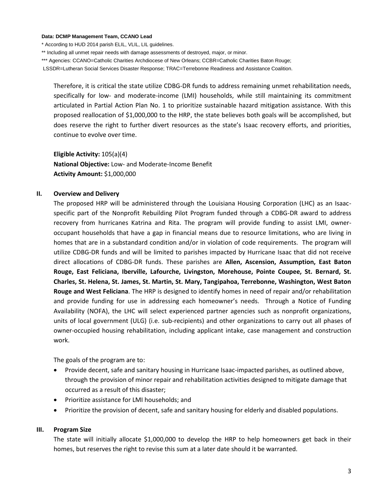#### **Data: DCMP Management Team, CCANO Lead**

\* According to HUD 2014 parish ELIL, VLIL, LIL guidelines.

\*\* Including all unmet repair needs with damage assessments of destroyed, major, or minor.

\*\*\* Agencies: CCANO=Catholic Charities Archdiocese of New Orleans; CCBR=Catholic Charities Baton Rouge;

LSSDR=Lutheran Social Services Disaster Response; TRAC=Terrebonne Readiness and Assistance Coalition.

Therefore, it is critical the state utilize CDBG-DR funds to address remaining unmet rehabilitation needs, specifically for low- and moderate-income (LMI) households, while still maintaining its commitment articulated in Partial Action Plan No. 1 to prioritize sustainable hazard mitigation assistance. With this proposed reallocation of \$1,000,000 to the HRP, the state believes both goals will be accomplished, but does reserve the right to further divert resources as the state's Isaac recovery efforts, and priorities, continue to evolve over time.

**Eligible Activity:** 105(a)(4) **National Objective:** Low- and Moderate-Income Benefit **Activity Amount:** \$1,000,000

# **II. Overview and Delivery**

The proposed HRP will be administered through the Louisiana Housing Corporation (LHC) as an Isaacspecific part of the Nonprofit Rebuilding Pilot Program funded through a CDBG-DR award to address recovery from hurricanes Katrina and Rita. The program will provide funding to assist LMI, owneroccupant households that have a gap in financial means due to resource limitations, who are living in homes that are in a substandard condition and/or in violation of code requirements. The program will utilize CDBG-DR funds and will be limited to parishes impacted by Hurricane Isaac that did not receive direct allocations of CDBG-DR funds. These parishes are **Allen, Ascension, Assumption, East Baton Rouge, East Feliciana, Iberville, Lafourche, Livingston, Morehouse, Pointe Coupee, St. Bernard, St. Charles, St. Helena, St. James, St. Martin, St. Mary, Tangipahoa, Terrebonne, Washington, West Baton Rouge and West Feliciana**. The HRP is designed to identify homes in need of repair and/or rehabilitation and provide funding for use in addressing each homeowner's needs. Through a Notice of Funding Availability (NOFA), the LHC will select experienced partner agencies such as nonprofit organizations, units of local government (ULG) (i.e. sub-recipients) and other organizations to carry out all phases of owner-occupied housing rehabilitation, including applicant intake, case management and construction work.

The goals of the program are to:

- Provide decent, safe and sanitary housing in Hurricane Isaac-impacted parishes, as outlined above, through the provision of minor repair and rehabilitation activities designed to mitigate damage that occurred as a result of this disaster;
- Prioritize assistance for LMI households; and
- Prioritize the provision of decent, safe and sanitary housing for elderly and disabled populations.

#### **III. Program Size**

The state will initially allocate \$1,000,000 to develop the HRP to help homeowners get back in their homes, but reserves the right to revise this sum at a later date should it be warranted.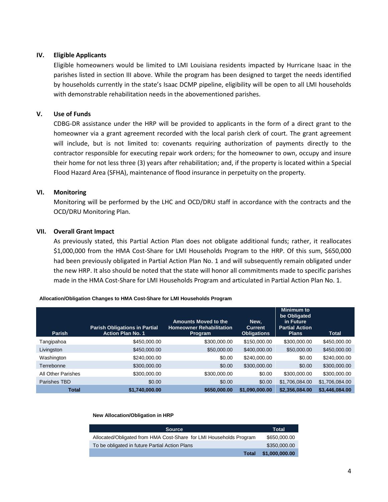# **IV. Eligible Applicants**

Eligible homeowners would be limited to LMI Louisiana residents impacted by Hurricane Isaac in the parishes listed in section III above. While the program has been designed to target the needs identified by households currently in the state's Isaac DCMP pipeline, eligibility will be open to all LMI households with demonstrable rehabilitation needs in the abovementioned parishes.

# **V. Use of Funds**

CDBG-DR assistance under the HRP will be provided to applicants in the form of a direct grant to the homeowner via a grant agreement recorded with the local parish clerk of court. The grant agreement will include, but is not limited to: covenants requiring authorization of payments directly to the contractor responsible for executing repair work orders; for the homeowner to own, occupy and insure their home for not less three (3) years after rehabilitation; and, if the property is located within a Special Flood Hazard Area (SFHA), maintenance of flood insurance in perpetuity on the property.

# **VI. Monitoring**

Monitoring will be performed by the LHC and OCD/DRU staff in accordance with the contracts and the OCD/DRU Monitoring Plan.

# **VII. Overall Grant Impact**

As previously stated, this Partial Action Plan does not obligate additional funds; rather, it reallocates \$1,000,000 from the HMA Cost-Share for LMI Households Program to the HRP. Of this sum, \$650,000 had been previously obligated in Partial Action Plan No. 1 and will subsequently remain obligated under the new HRP. It also should be noted that the state will honor all commitments made to specific parishes made in the HMA Cost-Share for LMI Households Program and articulated in Partial Action Plan No. 1.

| <b>Parish</b>      | <b>Parish Obligations in Partial</b><br><b>Action Plan No. 1</b> | <b>Amounts Moved to the</b><br><b>Homeowner Rehabilitation</b><br><b>Program</b> | New,<br><b>Current</b><br><b>Obligations</b> | <b>Minimum to</b><br>be Obligated<br>in Future<br><b>Partial Action</b><br><b>Plans</b> | <b>Total</b>   |
|--------------------|------------------------------------------------------------------|----------------------------------------------------------------------------------|----------------------------------------------|-----------------------------------------------------------------------------------------|----------------|
| Tangipahoa         | \$450,000.00                                                     | \$300,000,00                                                                     | \$150,000.00                                 | \$300,000,00                                                                            | \$450,000.00   |
| Livingston         | \$450,000.00                                                     | \$50,000.00                                                                      | \$400,000.00                                 | \$50,000.00                                                                             | \$450,000.00   |
| Washington         | \$240,000.00                                                     | \$0.00                                                                           | \$240,000.00                                 | \$0.00                                                                                  | \$240,000.00   |
| Terrebonne         | \$300,000.00                                                     | \$0.00                                                                           | \$300,000.00                                 | \$0.00                                                                                  | \$300,000.00   |
| All Other Parishes | \$300,000.00                                                     | \$300,000.00                                                                     | \$0.00                                       | \$300,000.00                                                                            | \$300,000.00   |
| Parishes TBD       | \$0.00                                                           | \$0.00                                                                           | \$0.00                                       | \$1,706,084.00                                                                          | \$1,706,084.00 |
| <b>Total</b>       | \$1,740,000.00                                                   | \$650,000.00                                                                     | \$1,090,000.00                               | \$2,356,084.00                                                                          | \$3,446,084.00 |

#### **Allocation/Obligation Changes to HMA Cost-Share for LMI Households Program**

#### **New Allocation/Obligation in HRP**

| <b>Source</b>                                                      | <b>Total</b>   |
|--------------------------------------------------------------------|----------------|
| Allocated/Obligated from HMA Cost-Share for LMI Households Program | \$650,000,00   |
| To be obligated in future Partial Action Plans                     | \$350,000,00   |
| <b>Total</b>                                                       | \$1,000,000.00 |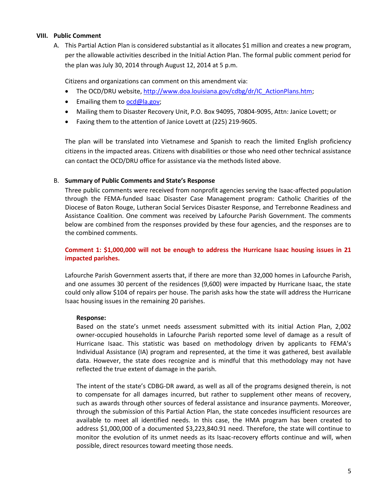# **VIII. Public Comment**

A. This Partial Action Plan is considered substantial as it allocates \$1 million and creates a new program, per the allowable activities described in the Initial Action Plan. The formal public comment period for the plan was July 30, 2014 through August 12, 2014 at 5 p.m.

Citizens and organizations can comment on this amendment via:

- The OCD/DRU website[, http://www.doa.louisiana.gov/cdbg/dr/IC\\_ActionPlans.htm;](http://www.doa.louisiana.gov/cdbg/dr/IC_ActionPlans.htm)
- Emailing them to [ocd@la.gov;](mailto:ocd@la.gov)
- Mailing them to Disaster Recovery Unit, P.O. Box 94095, 70804-9095, Attn: Janice Lovett; or
- Faxing them to the attention of Janice Lovett at (225) 219-9605.

The plan will be translated into Vietnamese and Spanish to reach the limited English proficiency citizens in the impacted areas. Citizens with disabilities or those who need other technical assistance can contact the OCD/DRU office for assistance via the methods listed above.

# B. **Summary of Public Comments and State's Response**

Three public comments were received from nonprofit agencies serving the Isaac‐affected population through the FEMA‐funded Isaac Disaster Case Management program: Catholic Charities of the Diocese of Baton Rouge, Lutheran Social Services Disaster Response, and Terrebonne Readiness and Assistance Coalition. One comment was received by Lafourche Parish Government. The comments below are combined from the responses provided by these four agencies, and the responses are to the combined comments.

# **Comment 1: \$1,000,000 will not be enough to address the Hurricane Isaac housing issues in 21 impacted parishes.**

Lafourche Parish Government asserts that, if there are more than 32,000 homes in Lafourche Parish, and one assumes 30 percent of the residences (9,600) were impacted by Hurricane Isaac, the state could only allow \$104 of repairs per house. The parish asks how the state will address the Hurricane Isaac housing issues in the remaining 20 parishes.

# **Response:**

Based on the state's unmet needs assessment submitted with its initial Action Plan, 2,002 owner-occupied households in Lafourche Parish reported some level of damage as a result of Hurricane Isaac. This statistic was based on methodology driven by applicants to FEMA's Individual Assistance (IA) program and represented, at the time it was gathered, best available data. However, the state does recognize and is mindful that this methodology may not have reflected the true extent of damage in the parish.

The intent of the state's CDBG-DR award, as well as all of the programs designed therein, is not to compensate for all damages incurred, but rather to supplement other means of recovery, such as awards through other sources of federal assistance and insurance payments. Moreover, through the submission of this Partial Action Plan, the state concedes insufficient resources are available to meet all identified needs. In this case, the HMA program has been created to address \$1,000,000 of a documented \$3,223,840.91 need. Therefore, the state will continue to monitor the evolution of its unmet needs as its Isaac-recovery efforts continue and will, when possible, direct resources toward meeting those needs.